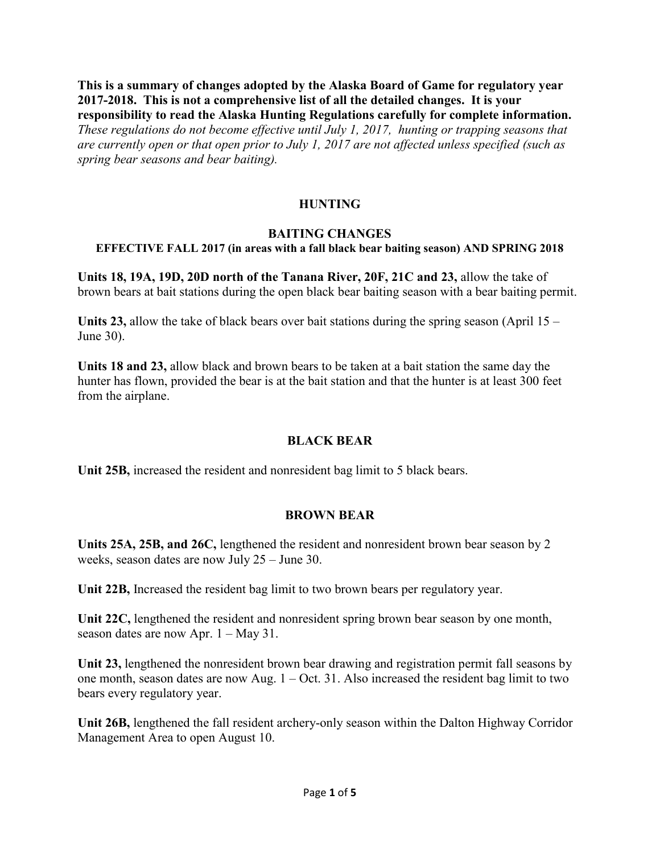**This is a summary of changes adopted by the Alaska Board of Game for regulatory year 2017-2018. This is not a comprehensive list of all the detailed changes. It is your responsibility to read the Alaska Hunting Regulations carefully for complete information.** *These regulations do not become effective until July 1, 2017, hunting or trapping seasons that are currently open or that open prior to July 1, 2017 are not affected unless specified (such as spring bear seasons and bear baiting).*

### **HUNTING**

### **BAITING CHANGES**

#### **EFFECTIVE FALL 2017 (in areas with a fall black bear baiting season) AND SPRING 2018**

**Units 18, 19A, 19D, 20D north of the Tanana River, 20F, 21C and 23,** allow the take of brown bears at bait stations during the open black bear baiting season with a bear baiting permit.

**Units 23,** allow the take of black bears over bait stations during the spring season (April 15 – June 30).

**Units 18 and 23,** allow black and brown bears to be taken at a bait station the same day the hunter has flown, provided the bear is at the bait station and that the hunter is at least 300 feet from the airplane.

### **BLACK BEAR**

**Unit 25B,** increased the resident and nonresident bag limit to 5 black bears.

### **BROWN BEAR**

**Units 25A, 25B, and 26C,** lengthened the resident and nonresident brown bear season by 2 weeks, season dates are now July 25 – June 30.

**Unit 22B,** Increased the resident bag limit to two brown bears per regulatory year.

**Unit 22C,** lengthened the resident and nonresident spring brown bear season by one month, season dates are now Apr. 1 – May 31.

**Unit 23,** lengthened the nonresident brown bear drawing and registration permit fall seasons by one month, season dates are now Aug. 1 – Oct. 31. Also increased the resident bag limit to two bears every regulatory year.

**Unit 26B,** lengthened the fall resident archery-only season within the Dalton Highway Corridor Management Area to open August 10.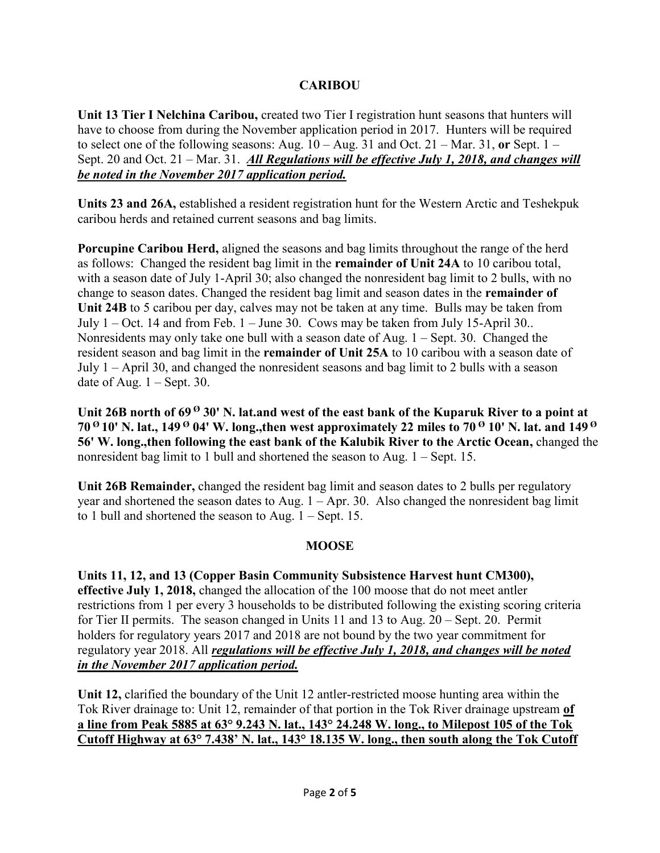# **CARIBOU**

**Unit 13 Tier I Nelchina Caribou,** created two Tier I registration hunt seasons that hunters will have to choose from during the November application period in 2017. Hunters will be required to select one of the following seasons: Aug. 10 – Aug. 31 and Oct. 21 – Mar. 31, **or** Sept. 1 – Sept. 20 and Oct. 21 – Mar. 31. *All Regulations will be effective July 1, 2018, and changes will be noted in the November 2017 application period.*

**Units 23 and 26A,** established a resident registration hunt for the Western Arctic and Teshekpuk caribou herds and retained current seasons and bag limits.

**Porcupine Caribou Herd,** aligned the seasons and bag limits throughout the range of the herd as follows: Changed the resident bag limit in the **remainder of Unit 24A** to 10 caribou total, with a season date of July 1-April 30; also changed the nonresident bag limit to 2 bulls, with no change to season dates. Changed the resident bag limit and season dates in the **remainder of Unit 24B** to 5 caribou per day, calves may not be taken at any time. Bulls may be taken from July  $1 - Oct.$  14 and from Feb.  $1 - June 30$ . Cows may be taken from July 15-April 30.. Nonresidents may only take one bull with a season date of Aug. 1 – Sept. 30. Changed the resident season and bag limit in the **remainder of Unit 25A** to 10 caribou with a season date of July 1 – April 30, and changed the nonresident seasons and bag limit to 2 bulls with a season date of Aug.  $1 -$ Sept. 30.

Unit 26B north of 69<sup> $\theta$ </sup> 30' N. lat.and west of the east bank of the Kuparuk River to a point at **70 <sup>Ø</sup> 10' N. lat., 149 <sup>Ø</sup> 04' W. long.,then west approximately 22 miles to 70 <sup>Ø</sup> 10' N. lat. and 149 <sup>Ø</sup> 56' W. long.,then following the east bank of the Kalubik River to the Arctic Ocean,** changed the nonresident bag limit to 1 bull and shortened the season to Aug. 1 – Sept. 15.

**Unit 26B Remainder,** changed the resident bag limit and season dates to 2 bulls per regulatory year and shortened the season dates to Aug.  $1 -$ Apr. 30. Also changed the nonresident bag limit to 1 bull and shortened the season to Aug. 1 – Sept. 15.

# **MOOSE**

**Units 11, 12, and 13 (Copper Basin Community Subsistence Harvest hunt CM300), effective July 1, 2018,** changed the allocation of the 100 moose that do not meet antler restrictions from 1 per every 3 households to be distributed following the existing scoring criteria for Tier II permits. The season changed in Units 11 and 13 to Aug. 20 – Sept. 20. Permit holders for regulatory years 2017 and 2018 are not bound by the two year commitment for regulatory year 2018. All *regulations will be effective July 1, 2018, and changes will be noted in the November 2017 application period.*

**Unit 12,** clarified the boundary of the Unit 12 antler-restricted moose hunting area within the Tok River drainage to: Unit 12, remainder of that portion in the Tok River drainage upstream **of a line from Peak 5885 at 63° 9.243 N. lat., 143° 24.248 W. long., to Milepost 105 of the Tok Cutoff Highway at 63° 7.438' N. lat., 143° 18.135 W. long., then south along the Tok Cutoff**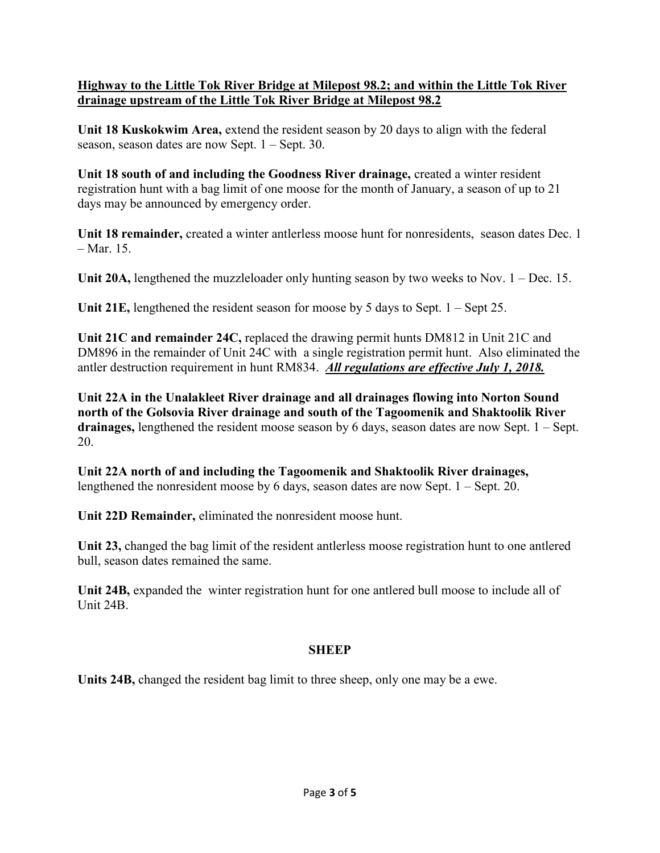# **Highway to the Little Tok River Bridge at Milepost 98.2; and within the Little Tok River drainage upstream of the Little Tok River Bridge at Milepost 98.2**

**Unit 18 Kuskokwim Area,** extend the resident season by 20 days to align with the federal season, season dates are now Sept. 1 – Sept. 30.

**Unit 18 south of and including the Goodness River drainage,** created a winter resident registration hunt with a bag limit of one moose for the month of January, a season of up to 21 days may be announced by emergency order.

**Unit 18 remainder,** created a winter antlerless moose hunt for nonresidents, season dates Dec. 1  $-Mar$  15

**Unit 20A,** lengthened the muzzleloader only hunting season by two weeks to Nov. 1 – Dec. 15.

**Unit 21E,** lengthened the resident season for moose by 5 days to Sept. 1 – Sept 25.

**Unit 21C and remainder 24C,** replaced the drawing permit hunts DM812 in Unit 21C and DM896 in the remainder of Unit 24C with a single registration permit hunt. Also eliminated the antler destruction requirement in hunt RM834. *All regulations are effective July 1, 2018.*

**Unit 22A in the Unalakleet River drainage and all drainages flowing into Norton Sound north of the Golsovia River drainage and south of the Tagoomenik and Shaktoolik River drainages,** lengthened the resident moose season by 6 days, season dates are now Sept. 1 – Sept. 20.

**Unit 22A north of and including the Tagoomenik and Shaktoolik River drainages,**  lengthened the nonresident moose by 6 days, season dates are now Sept. 1 – Sept. 20.

**Unit 22D Remainder,** eliminated the nonresident moose hunt.

**Unit 23,** changed the bag limit of the resident antlerless moose registration hunt to one antlered bull, season dates remained the same.

Unit 24B, expanded the winter registration hunt for one antlered bull moose to include all of Unit 24B.

# **SHEEP**

**Units 24B,** changed the resident bag limit to three sheep, only one may be a ewe.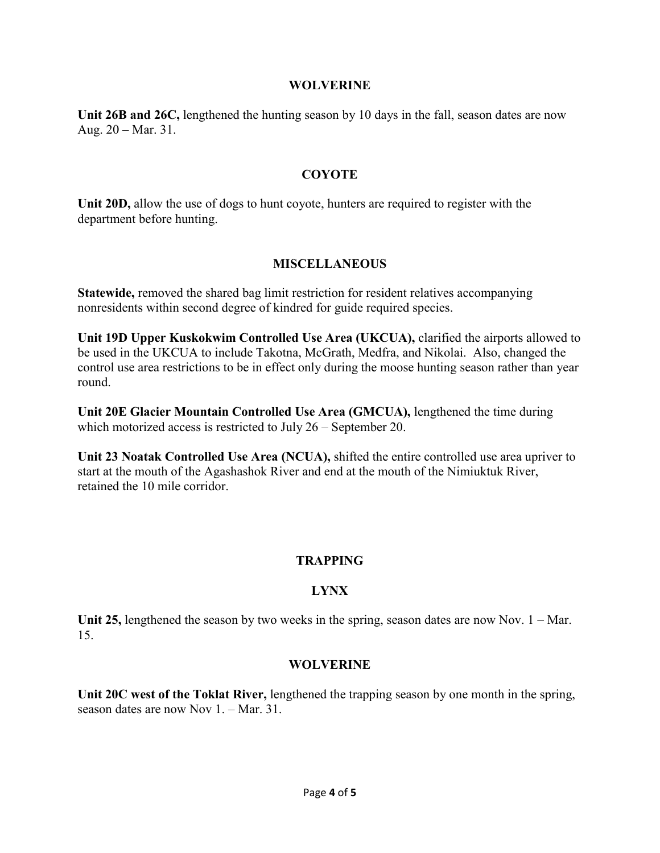#### **WOLVERINE**

**Unit 26B and 26C,** lengthened the hunting season by 10 days in the fall, season dates are now Aug. 20 – Mar. 31.

### **COYOTE**

**Unit 20D,** allow the use of dogs to hunt coyote, hunters are required to register with the department before hunting.

# **MISCELLANEOUS**

**Statewide,** removed the shared bag limit restriction for resident relatives accompanying nonresidents within second degree of kindred for guide required species.

**Unit 19D Upper Kuskokwim Controlled Use Area (UKCUA),** clarified the airports allowed to be used in the UKCUA to include Takotna, McGrath, Medfra, and Nikolai. Also, changed the control use area restrictions to be in effect only during the moose hunting season rather than year round.

**Unit 20E Glacier Mountain Controlled Use Area (GMCUA),** lengthened the time during which motorized access is restricted to July 26 – September 20.

**Unit 23 Noatak Controlled Use Area (NCUA),** shifted the entire controlled use area upriver to start at the mouth of the Agashashok River and end at the mouth of the Nimiuktuk River, retained the 10 mile corridor.

# **TRAPPING**

# **LYNX**

Unit 25, lengthened the season by two weeks in the spring, season dates are now Nov. 1 – Mar. 15.

### **WOLVERINE**

**Unit 20C west of the Toklat River,** lengthened the trapping season by one month in the spring, season dates are now Nov 1. – Mar. 31.